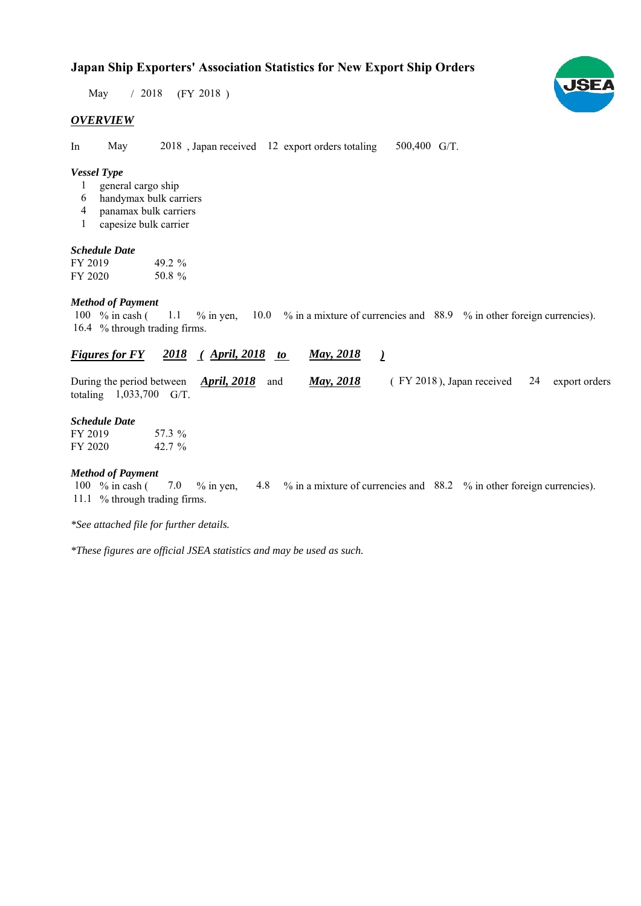## **Japan Ship Exporters' Association Statistics for New Export Ship Orders**

 $/ 2018$  (FY 2018) May

## *OVERVIEW*

In May 2018, Japan received 12 export orders totaling 500,400 G/T.

### *Vessel Type*

- general cargo ship 1
- handymax bulk carriers 6
- panamax bulk carriers 4
- capesize bulk carrier 1

#### *Schedule Date*

| FY 2019 | 49.2 $\%$ |
|---------|-----------|
| FY 2020 | 50.8 %    |

#### *Method of Payment*

% in cash ( $1.1$  % in yen,  $10.0$  % in a mixture of currencies and 88.9 % in other foreign currencies). 16.4 % through trading firms. 100  $%$  in cash ( 1.1

| <b>Figures for FY</b>                                                                    | <u>2018 (April, 2018) to</u> | <b>May</b> , 2018 |                                               |  |
|------------------------------------------------------------------------------------------|------------------------------|-------------------|-----------------------------------------------|--|
| During the period between $\triangle$ <b>pril, 2018</b> and<br>totaling $1,033,700$ G/T. |                              | <b>May</b> , 2018 | $($ FY 2018), Japan received 24 export orders |  |
| $\alpha$ iiin.                                                                           |                              |                   |                                               |  |

## *Schedule Date*

| FY 2019 | 57.3 %    |
|---------|-----------|
| FY 2020 | 42.7 $\%$ |

#### *Method of Payment*

% in cash ( $\frac{7.0}{8}$  % in yen,  $\frac{4.8}{8}$  % in a mixture of currencies and  $\frac{88.2}{8}$  % in other foreign currencies). 11.1 % through trading firms. 100 % in cash (

*\*See attached file for further details.*

*\*These figures are official JSEA statistics and may be used as such.*

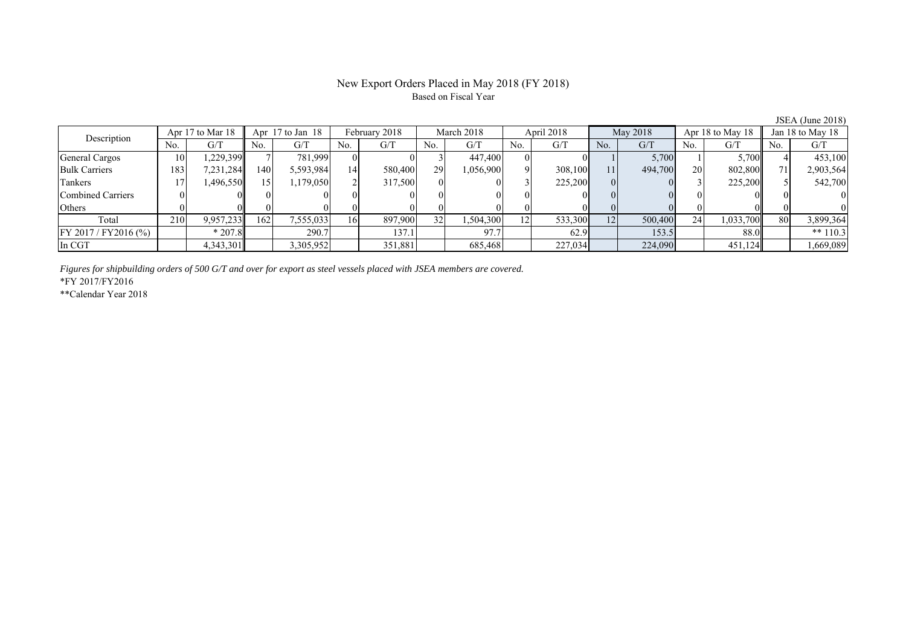#### New Export Orders Placed in May 2018 (FY 2018) Based on Fiscal Year

JSEA (June 2018)<br>Jan 18 to May 18 No. G/T No. G/T No. G/T No. G/T No. G/T No. G/T No. G/T No. G/T General Cargos ( 10 1,229,399 7 781,999 0 0 1 3 447,400 0 0 1 5,700 1 5,700 4 453,100 Bulk Carriers 183 7,231,284 140 5,593,984 14 580,400 29 1,056,900 9 308,100 11 494,700 20 802,800 71 2,903,564 Tankers 17 | 17 | 1,496,550 | 15 | 1,179,050 | 2 | 317,500 | 0 | 0 | 3 | 225,200 | 0 | 0 | 3 | 225,200 5 | 542,700 Combined Carriers 0 0 0 0 0 0 0 0 0 0 0 0 0 0 0 0 Others | 0 | 0 || 0 || 0 || 0 || 0 || 0 || 0 || 0 || 0 || 0 | Total 210 9,957,233 162 7,555,033 16 897,900 32 1,504,300 12 533,300 12 500,400 24 1,033,700 80 3,899,364 FY 2017 / FY2016 (%) \* 207.8 290.7 137.1 97.7 62.9 153.5 88.0 \*\* 110.3 In CGT | | 4,343,301|| | 3,305,952| | 351,881| | 685,468| | 227,034| | 224,090| | 451,124|| | 1,669,089 Description Apr 17 to Mar 18 | Apr 17 to Jan 18 | February 2018 | March 2018 | April 2018 May 2018 | Apr 18 to May 18

*Figures for shipbuilding orders of 500 G/T and over for export as steel vessels placed with JSEA members are covered.*

\*FY 2017/FY2016

\*\*Calendar Year 2018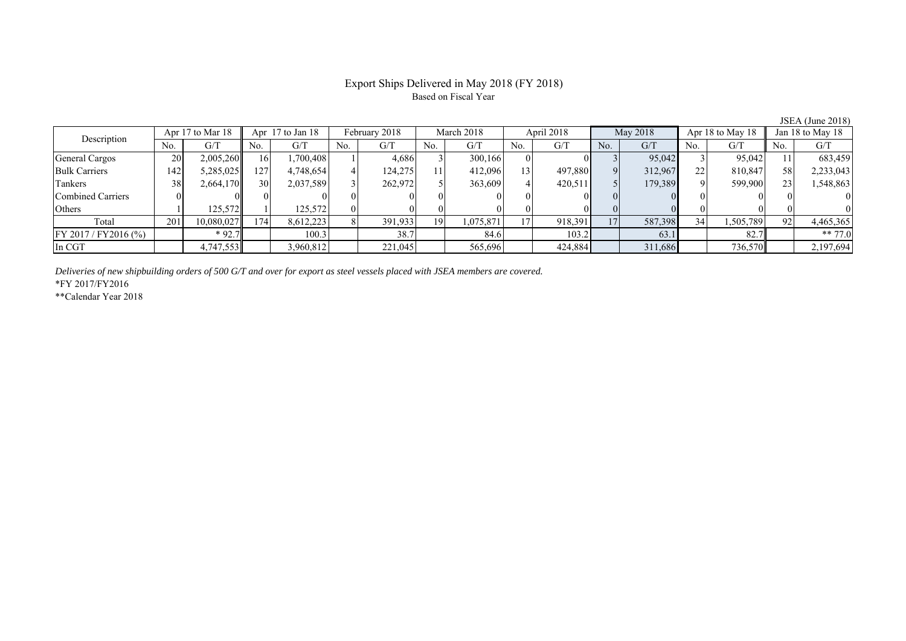## Export Ships Delivered in May 2018 (FY 2018) Based on Fiscal Year

| Description             |     | Apr 17 to Mar 18 |     | Apr $17$ to Jan $18$ |     | February 2018 |     | March 2018 |     | April 2018 |                | May 2018 |     | Apr 18 to May 18 |          | Jan 18 to May 18 |
|-------------------------|-----|------------------|-----|----------------------|-----|---------------|-----|------------|-----|------------|----------------|----------|-----|------------------|----------|------------------|
|                         | No. | G/T              | No. | G/T                  | No. | G/T           | No. | G/T        | No. | G/T        | N <sub>o</sub> | G/T      | No. | G/T              | No.      | G/T              |
| General Cargos          | 20  | 2,005,260        | 161 | ,700,408             |     | 4,686         |     | 300,166    |     |            |                | 95,042   |     | 95,042           |          | 683,459          |
| <b>Bulk Carriers</b>    | 142 | 5,285,025        | 127 | 4,748,654            |     | 124,275       | 11  | 412.096    | 13  | 497,880    |                | 312.967  | 22  | 810.847          |          | 2,233,043        |
| Tankers                 | 38  | 2,664,170        | 30  | 2,037,589            |     | 262,972       |     | 363,609    |     | 420,511    |                | 179,389  |     | 599,900          |          | 1,548,863        |
| Combined Carriers       |     |                  |     |                      |     |               |     |            |     |            |                |          |     |                  |          |                  |
| Others                  |     | 125,572          |     | 125,572              |     |               |     |            |     |            |                |          |     |                  |          |                  |
| Total                   | 201 | 10,080,027       | 174 | 8,612,223            |     | 391,933       | 19  | 1,075,871  |     | 918,391    | 171            | 587,398  | 34  | 1,505,789        | $\Omega$ | 4,465,365        |
| $FY 2017 / FY 2016$ (%) |     | $*92.7$          |     | 100.3                |     | 38.7          |     | 84.6       |     | 103.2      |                | 63.      |     | 82.7             |          | ** 77.0          |
| In CGT                  |     | 4,747,553        |     | 3,960,812            |     | 221,045       |     | 565,696    |     | 424,884    |                | 311,686  |     | 736,570          |          | 2,197,694        |

*Deliveries of new shipbuilding orders of 500 G/T and over for export as steel vessels placed with JSEA members are covered.*

\*FY 2017/FY2016

\*\*Calendar Year 2018

JSEA (June 2018)